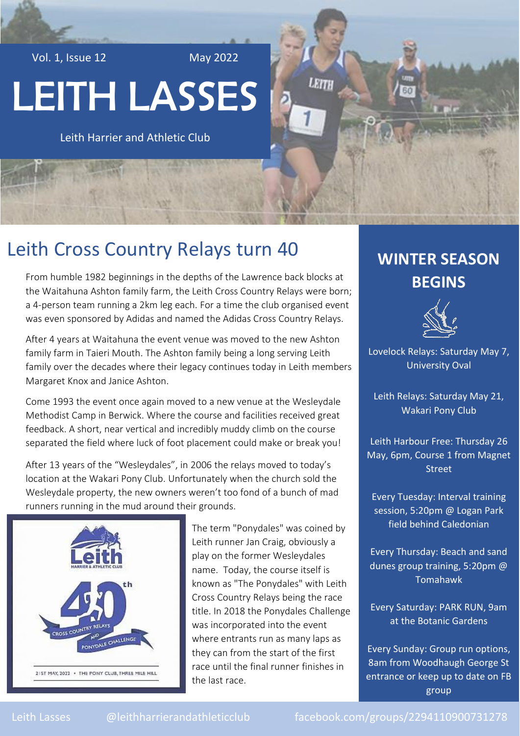Vol. 1, Issue 12 May 2022

# LEITH LASSES

Leith Harrier and Athletic Club

# Leith Cross Country Relays turn 40

From humble 1982 beginnings in the depths of the Lawrence back blocks at the Waitahuna Ashton family farm, the Leith Cross Country Relays were born; a 4-person team running a 2km leg each. For a time the club organised event was even sponsored by Adidas and named the Adidas Cross Country Relays.

After 4 years at Waitahuna the event venue was moved to the new Ashton family farm in Taieri Mouth. The Ashton family being a long serving Leith family over the decades where their legacy continues today in Leith members Margaret Knox and Janice Ashton.

Come 1993 the event once again moved to a new venue at the Wesleydale Methodist Camp in Berwick. Where the course and facilities received great feedback. A short, near vertical and incredibly muddy climb on the course separated the field where luck of foot placement could make or break you!

After 13 years of the "Wesleydales", in 2006 the relays moved to today's location at the Wakari Pony Club. Unfortunately when the church sold the Wesleydale property, the new owners weren't too fond of a bunch of mad runners running in the mud around their grounds.



The term "Ponydales" was coined by Leith runner Jan Craig, obviously a play on the former Wesleydales name. Today, the course itself is known as "The Ponydales" with Leith Cross Country Relays being the race title. In 2018 the Ponydales Challenge was incorporated into the event where entrants run as many laps as they can from the start of the first race until the final runner finishes in the last race.

## **WINTER SEASON BEGINS**

LEITH



Lovelock Relays: Saturday May 7, University Oval

Leith Relays: Saturday May 21, Wakari Pony Club

Leith Harbour Free: Thursday 26 May, 6pm, Course 1 from Magnet Street

Every Tuesday: Interval training session, 5:20pm @ Logan Park field behind Caledonian

Every Thursday: Beach and sand dunes group training, 5:20pm @ Tomahawk

Every Saturday: PARK RUN, 9am at the Botanic Gardens

Every Sunday: Group run options, 8am from Woodhaugh George St entrance or keep up to date on FB group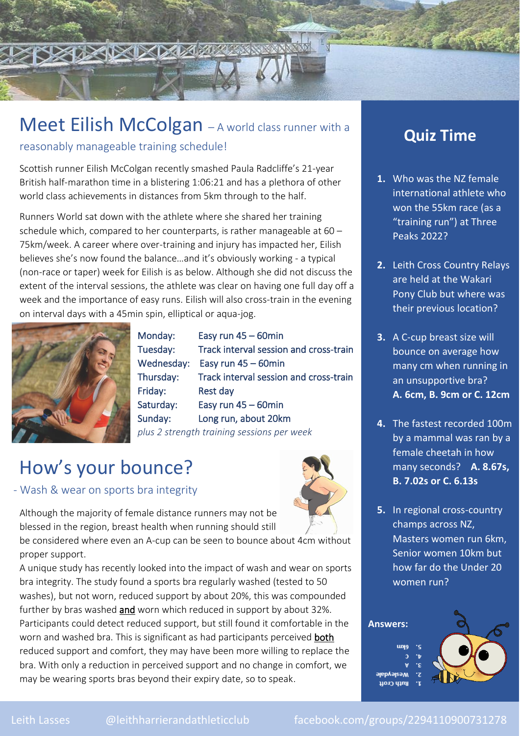

# Meet Eilish McColgan - A world class runner with a

reasonably manageable training schedule!

Scottish runner Eilish McColgan recently smashed Paula Radcliffe's 21-year British half-marathon time in a blistering 1:06:21 and has a plethora of other world class achievements in distances from 5km through to the half.

Runners World sat down with the athlete where she shared her training schedule which, compared to her counterparts, is rather manageable at 60 – 75km/week. A career where over-training and injury has impacted her, Eilish believes she's now found the balance…and it's obviously working - a typical (non-race or taper) week for Eilish is as below. Although she did not discuss the extent of the interval sessions, the athlete was clear on having one full day off a week and the importance of easy runs. Eilish will also cross-train in the evening on interval days with a 45min spin, elliptical or aqua-jog.



Monday: Easy run 45 – 60min Tuesday: Track interval session and cross-train Wednesday: Easy run 45 – 60min Thursday: Track interval session and cross-train Friday: Rest day Saturday: Easy run 45 – 60min Sunday: Long run, about 20km *plus 2 strength training sessions per week* 

# How's your bounce?

#### - Wash & wear on sports bra integrity



Although the majority of female distance runners may not be blessed in the region, breast health when running should still

be considered where even an A-cup can be seen to bounce about 4cm without proper support.

A unique study has recently looked into the impact of wash and wear on sports bra integrity. The study found a sports bra regularly washed (tested to 50 washes), but not worn, reduced support by about 20%, this was compounded further by bras washed and worn which reduced in support by about 32%. Participants could detect reduced support, but still found it comfortable in the worn and washed bra. This is significant as had participants perceived **both** reduced support and comfort, they may have been more willing to replace the bra. With only a reduction in perceived support and no change in comfort, we may be wearing sports bras beyond their expiry date, so to speak.

### **Quiz Time**

- **1.** Who was the NZ female international athlete who won the 55km race (as a "training run") at Three Peaks 2022?
- **2.** Leith Cross Country Relays are held at the Wakari Pony Club but where was their previous location?
- **3.** A C-cup breast size will bounce on average how many cm when running in an unsupportive bra? **A. 6cm, B. 9cm or C. 12cm**
- **4.** The fastest recorded 100m by a mammal was ran by a female cheetah in how many seconds? **A. 8.67s, B. 7.02s or C. 6.13s**
- **5.** In regional cross-country champs across NZ, Masters women run 6km, Senior women 10km but how far do the Under 20 women run?

#### **Answers:**